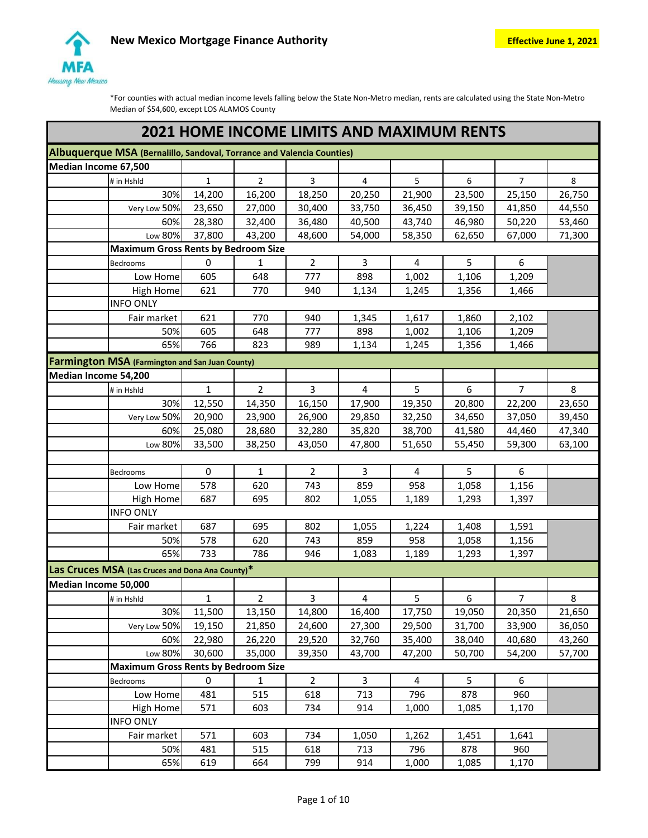

|                      |                                                                        |              |                |                |                | <b>2021 HOME INCOME LIMITS AND MAXIMUM RENTS</b> |                |                |        |
|----------------------|------------------------------------------------------------------------|--------------|----------------|----------------|----------------|--------------------------------------------------|----------------|----------------|--------|
|                      | Albuquerque MSA (Bernalillo, Sandoval, Torrance and Valencia Counties) |              |                |                |                |                                                  |                |                |        |
| Median Income 67,500 |                                                                        |              |                |                |                |                                                  |                |                |        |
|                      | # in Hshld                                                             | $\mathbf{1}$ | $\overline{2}$ | 3              | 4              | 5                                                | 6              | $\overline{7}$ | 8      |
|                      | 30%                                                                    | 14,200       | 16,200         | 18,250         | 20,250         | 21,900                                           | 23,500         | 25,150         | 26,750 |
|                      | Very Low 50%                                                           | 23,650       | 27,000         | 30,400         | 33,750         | 36,450                                           | 39,150         | 41,850         | 44,550 |
|                      | 60%                                                                    | 28,380       | 32,400         | 36,480         | 40,500         | 43,740                                           | 46,980         | 50,220         | 53,460 |
|                      | Low 80%                                                                | 37,800       | 43,200         | 48,600         | 54,000         | 58,350                                           | 62,650         | 67,000         | 71,300 |
|                      | <b>Maximum Gross Rents by Bedroom Size</b>                             |              |                |                |                |                                                  |                |                |        |
|                      | Bedrooms                                                               | 0            | 1              | $\overline{2}$ | 3              | 4                                                | 5              | 6              |        |
|                      | Low Home                                                               | 605          | 648            | 777            | 898            | 1,002                                            | 1,106          | 1,209          |        |
|                      | High Home                                                              | 621          | 770            | 940            | 1,134          | 1,245                                            | 1,356          | 1,466          |        |
|                      | <b>INFO ONLY</b>                                                       |              |                |                |                |                                                  |                |                |        |
|                      | Fair market                                                            | 621          | 770            | 940            | 1,345          | 1,617                                            | 1,860          | 2,102          |        |
|                      | 50%                                                                    | 605          | 648            | 777            | 898            | 1,002                                            | 1,106          | 1,209          |        |
|                      | 65%                                                                    | 766          | 823            | 989            | 1,134          | 1,245                                            | 1,356          | 1,466          |        |
|                      | <b>Farmington MSA</b> (Farmington and San Juan County)                 |              |                |                |                |                                                  |                |                |        |
| Median Income 54,200 |                                                                        |              |                |                |                |                                                  |                |                |        |
|                      | # in Hshld                                                             | $\mathbf{1}$ | $\overline{2}$ | 3              | 4              | 5                                                | 6              | $\overline{7}$ | 8      |
|                      | 30%                                                                    | 12,550       | 14,350         | 16,150         | 17,900         | 19,350                                           | 20,800         | 22,200         | 23,650 |
|                      | Very Low 50%                                                           | 20,900       | 23,900         | 26,900         | 29,850         | 32,250                                           | 34,650         | 37,050         | 39,450 |
|                      | 60%                                                                    | 25,080       | 28,680         | 32,280         | 35,820         | 38,700                                           | 41,580         | 44,460         | 47,340 |
|                      | Low 80%                                                                | 33,500       | 38,250         | 43,050         | 47,800         | 51,650                                           | 55,450         | 59,300         | 63,100 |
|                      |                                                                        |              |                |                |                |                                                  |                |                |        |
|                      | Bedrooms                                                               | 0            | $\mathbf{1}$   | $\overline{2}$ | $\overline{3}$ | $\overline{4}$                                   | 5              | 6              |        |
|                      | Low Home                                                               | 578          | 620            | 743            | 859            | 958                                              | 1,058          | 1,156          |        |
|                      | <b>High Home</b>                                                       | 687          | 695            | 802            | 1,055          | 1,189                                            | 1,293          | 1,397          |        |
|                      | <b>INFO ONLY</b>                                                       |              |                |                |                |                                                  |                |                |        |
|                      | Fair market                                                            | 687          | 695            | 802            | 1,055          | 1,224                                            | 1,408          | 1,591          |        |
|                      | 50%                                                                    | 578          | 620            | 743            | 859            | 958                                              | 1,058          | 1,156          |        |
|                      | 65%                                                                    | 733          | 786            | 946            | 1,083          | 1,189                                            | 1,293          | 1,397          |        |
|                      | Las Cruces MSA (Las Cruces and Dona Ana County)*                       |              |                |                |                |                                                  |                |                |        |
| Median Income 50,000 |                                                                        |              |                |                |                |                                                  |                |                |        |
|                      | # in Hshld                                                             | $\mathbf{1}$ | $\overline{2}$ | $\overline{3}$ | $\overline{4}$ | 5 <sub>1</sub>                                   | 6              | 7 <sup>7</sup> | 8      |
|                      | 30%                                                                    | 11,500       | 13,150         | 14,800         | 16,400         | 17,750                                           | 19,050         | 20,350         | 21,650 |
|                      | Very Low 50%                                                           | 19,150       | 21,850         | 24,600         | 27,300         | 29,500                                           | 31,700         | 33,900         | 36,050 |
|                      | 60%                                                                    | 22,980       | 26,220         | 29,520         | 32,760         | 35,400                                           | 38,040         | 40,680         | 43,260 |
|                      | Low 80%                                                                | 30,600       | 35,000         | 39,350         | 43,700         | 47,200                                           | 50,700         | 54,200         | 57,700 |
|                      | <b>Maximum Gross Rents by Bedroom Size</b>                             |              |                |                |                |                                                  |                |                |        |
|                      | <b>Bedrooms</b>                                                        | 0            | $\mathbf{1}$   | $\overline{2}$ | $\overline{3}$ | 4                                                | 5 <sup>1</sup> | 6              |        |
|                      | Low Home                                                               | 481          | 515            | 618            | 713            | 796                                              | 878            | 960            |        |
|                      | High Home                                                              | 571          | 603            | 734            | 914            | 1,000                                            | 1,085          | 1,170          |        |
|                      | <b>INFO ONLY</b>                                                       |              |                |                |                |                                                  |                |                |        |
|                      | Fair market                                                            | 571          | 603            | 734            | 1,050          | 1,262                                            | 1,451          | 1,641          |        |
|                      |                                                                        |              |                |                |                |                                                  |                |                |        |
|                      | 50%                                                                    | 481          | 515            | 618            | 713            | 796                                              | 878            | 960            |        |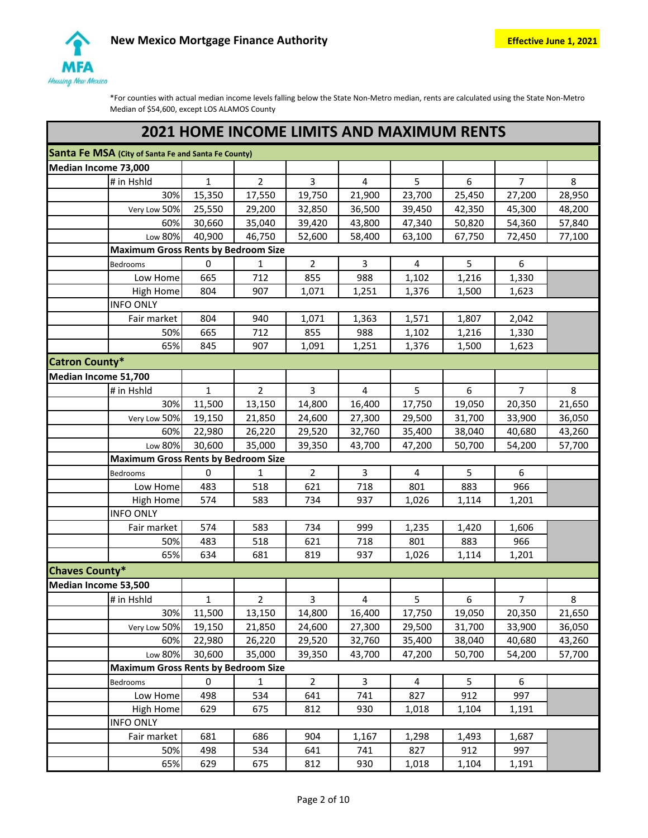

|                       | <b>2021 HOME INCOME LIMITS AND MAXIMUM RENTS</b>    |              |                |                |                         |        |        |                |        |  |  |  |
|-----------------------|-----------------------------------------------------|--------------|----------------|----------------|-------------------------|--------|--------|----------------|--------|--|--|--|
|                       | Santa Fe MSA (City of Santa Fe and Santa Fe County) |              |                |                |                         |        |        |                |        |  |  |  |
| Median Income 73,000  |                                                     |              |                |                |                         |        |        |                |        |  |  |  |
|                       | # in Hshld                                          | $\mathbf{1}$ | 2              | 3              | 4                       | 5      | 6      | $\overline{7}$ | 8      |  |  |  |
|                       | 30%                                                 | 15,350       | 17,550         | 19,750         | 21,900                  | 23,700 | 25,450 | 27,200         | 28,950 |  |  |  |
|                       | Very Low 50%                                        | 25,550       | 29,200         | 32,850         | 36,500                  | 39,450 | 42,350 | 45,300         | 48,200 |  |  |  |
|                       | 60%                                                 | 30,660       | 35,040         | 39,420         | 43,800                  | 47,340 | 50,820 | 54,360         | 57,840 |  |  |  |
|                       | Low 80%                                             | 40,900       | 46,750         | 52,600         | 58,400                  | 63,100 | 67,750 | 72,450         | 77,100 |  |  |  |
|                       | <b>Maximum Gross Rents by Bedroom Size</b>          |              |                |                |                         |        |        |                |        |  |  |  |
|                       | Bedrooms                                            | $\pmb{0}$    | $\mathbf{1}$   | 2              | 3                       | 4      | 5      | 6              |        |  |  |  |
|                       | Low Home                                            | 665          | 712            | 855            | 988                     | 1,102  | 1,216  | 1,330          |        |  |  |  |
|                       | <b>High Home</b>                                    | 804          | 907            | 1,071          | 1,251                   | 1,376  | 1,500  | 1,623          |        |  |  |  |
|                       | <b>INFO ONLY</b>                                    |              |                |                |                         |        |        |                |        |  |  |  |
|                       | Fair market                                         | 804          | 940            | 1,071          | 1,363                   | 1,571  | 1,807  | 2,042          |        |  |  |  |
|                       | 50%                                                 | 665          | 712            | 855            | 988                     | 1,102  | 1,216  | 1,330          |        |  |  |  |
|                       | 65%                                                 | 845          | 907            | 1,091          | 1,251                   | 1,376  | 1,500  | 1,623          |        |  |  |  |
| <b>Catron County*</b> |                                                     |              |                |                |                         |        |        |                |        |  |  |  |
| Median Income 51,700  |                                                     |              |                |                |                         |        |        |                |        |  |  |  |
|                       | # in Hshld                                          | $\mathbf 1$  | $\overline{2}$ | 3              | $\overline{\mathbf{4}}$ | 5      | 6      | $\overline{7}$ | 8      |  |  |  |
|                       | 30%                                                 | 11,500       | 13,150         | 14,800         | 16,400                  | 17,750 | 19,050 | 20,350         | 21,650 |  |  |  |
|                       | Very Low 50%                                        | 19,150       | 21,850         | 24,600         | 27,300                  | 29,500 | 31,700 | 33,900         | 36,050 |  |  |  |
|                       | 60%                                                 | 22,980       | 26,220         | 29,520         | 32,760                  | 35,400 | 38,040 | 40,680         | 43,260 |  |  |  |
|                       | Low 80%                                             | 30,600       | 35,000         | 39,350         | 43,700                  | 47,200 | 50,700 | 54,200         | 57,700 |  |  |  |
|                       | <b>Maximum Gross Rents by Bedroom Size</b>          |              |                |                |                         |        |        |                |        |  |  |  |
|                       | Bedrooms                                            | 0            | 1              | $\overline{2}$ | 3                       | 4      | 5      | 6              |        |  |  |  |
|                       | Low Home                                            | 483          | 518            | 621            | 718                     | 801    | 883    | 966            |        |  |  |  |
|                       | <b>High Home</b>                                    | 574          | 583            | 734            | 937                     | 1,026  | 1,114  | 1,201          |        |  |  |  |
|                       | <b>INFO ONLY</b>                                    |              |                |                |                         |        |        |                |        |  |  |  |
|                       | Fair market                                         | 574          | 583            | 734            | 999                     | 1,235  | 1,420  | 1,606          |        |  |  |  |
|                       | 50%                                                 | 483          | 518            | 621            | 718                     | 801    | 883    | 966            |        |  |  |  |
|                       | 65%                                                 | 634          | 681            | 819            | 937                     | 1,026  | 1,114  | 1,201          |        |  |  |  |
| <b>Chaves County*</b> |                                                     |              |                |                |                         |        |        |                |        |  |  |  |
| Median Income 53,500  |                                                     |              |                |                |                         |        |        |                |        |  |  |  |
|                       | $\frac{1}{4}$ in Hshld                              | $\mathbf{1}$ | $\mathbf{Z}$   | 3              | 4                       | 5      | 6      | $\overline{7}$ | 8      |  |  |  |
|                       | 30%                                                 | 11,500       | 13,150         | 14,800         | 16,400                  | 17,750 | 19,050 | 20,350         | 21,650 |  |  |  |
|                       | Very Low 50%                                        | 19,150       | 21,850         | 24,600         | 27,300                  | 29,500 | 31,700 | 33,900         | 36,050 |  |  |  |
|                       | 60%                                                 | 22,980       | 26,220         | 29,520         | 32,760                  | 35,400 | 38,040 | 40,680         | 43,260 |  |  |  |
|                       | Low 80%                                             | 30,600       | 35,000         | 39,350         | 43,700                  | 47,200 | 50,700 | 54,200         | 57,700 |  |  |  |
|                       | <b>Maximum Gross Rents by Bedroom Size</b>          |              |                |                |                         |        |        |                |        |  |  |  |
|                       | Bedrooms                                            | 0            | $\mathbf{1}$   | $\overline{2}$ | 3                       | 4      | 5      | 6              |        |  |  |  |
|                       | Low Home                                            | 498          | 534            | 641            | 741                     | 827    | 912    | 997            |        |  |  |  |
|                       | High Home                                           | 629          | 675            | 812            | 930                     | 1,018  | 1,104  | 1,191          |        |  |  |  |
|                       | <b>INFO ONLY</b>                                    |              |                |                |                         |        |        |                |        |  |  |  |
|                       | Fair market                                         | 681          | 686            | 904            | 1,167                   | 1,298  | 1,493  | 1,687          |        |  |  |  |
|                       | 50%                                                 | 498          | 534            | 641            | 741                     | 827    | 912    | 997            |        |  |  |  |
|                       | 65%                                                 | 629          | 675            | 812            | 930                     | 1,018  | 1,104  | 1,191          |        |  |  |  |
|                       |                                                     |              |                |                |                         |        |        |                |        |  |  |  |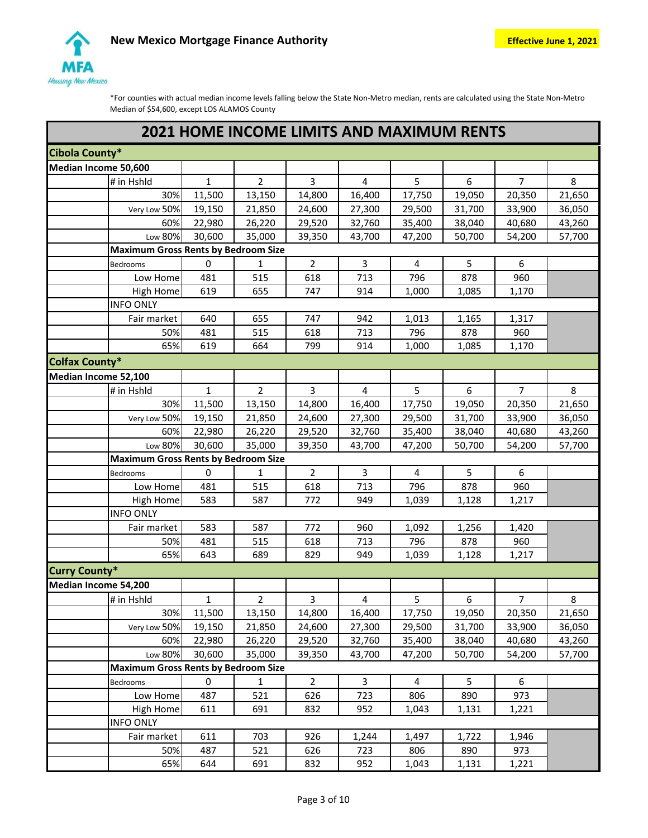

| <b>2021 HOME INCOME LIMITS AND MAXIMUM RENTS</b> |              |                |                |                         |        |        |                  |        |  |  |
|--------------------------------------------------|--------------|----------------|----------------|-------------------------|--------|--------|------------------|--------|--|--|
| Cibola County*                                   |              |                |                |                         |        |        |                  |        |  |  |
| Median Income 50,600                             |              |                |                |                         |        |        |                  |        |  |  |
| # in Hshld                                       | $\mathbf{1}$ | $\overline{2}$ | 3              | 4                       | 5      | 6      | $\overline{7}$   | 8      |  |  |
| 30%                                              | 11,500       | 13,150         | 14,800         | 16,400                  | 17,750 | 19,050 | 20,350           | 21,650 |  |  |
| Very Low 50%                                     | 19,150       | 21,850         | 24,600         | 27,300                  | 29,500 | 31,700 | 33,900           | 36,050 |  |  |
| 60%                                              | 22,980       | 26,220         | 29,520         | 32,760                  | 35,400 | 38,040 | 40,680           | 43,260 |  |  |
| Low 80%                                          | 30,600       | 35,000         | 39,350         | 43,700                  | 47,200 | 50,700 | 54,200           | 57,700 |  |  |
| <b>Maximum Gross Rents by Bedroom Size</b>       |              |                |                |                         |        |        |                  |        |  |  |
| Bedrooms                                         | $\pmb{0}$    | 1              | $\overline{2}$ | 3                       | 4      | 5      | 6                |        |  |  |
| Low Home                                         | 481          | 515            | 618            | 713                     | 796    | 878    | 960              |        |  |  |
| <b>High Home</b>                                 | 619          | 655            | 747            | 914                     | 1,000  | 1,085  | 1,170            |        |  |  |
| <b>INFO ONLY</b>                                 |              |                |                |                         |        |        |                  |        |  |  |
| Fair market                                      | 640          | 655            | 747            | 942                     | 1,013  | 1,165  | 1,317            |        |  |  |
| 50%                                              | 481          | 515            | 618            | 713                     | 796    | 878    | 960              |        |  |  |
| 65%                                              | 619          | 664            | 799            | 914                     | 1,000  | 1,085  | 1,170            |        |  |  |
| <b>Colfax County*</b>                            |              |                |                |                         |        |        |                  |        |  |  |
| Median Income 52,100                             |              |                |                |                         |        |        |                  |        |  |  |
| # in Hshld                                       | $\mathbf{1}$ | $\overline{2}$ | 3              | $\overline{\mathbf{4}}$ | 5      | 6      | $\overline{7}$   | 8      |  |  |
| 30%                                              | 11,500       | 13,150         | 14,800         | 16,400                  | 17,750 | 19,050 | 20,350           | 21,650 |  |  |
| Very Low 50%                                     | 19,150       | 21,850         | 24,600         | 27,300                  | 29,500 | 31,700 | 33,900           | 36,050 |  |  |
| 60%                                              | 22,980       | 26,220         | 29,520         | 32,760                  | 35,400 | 38,040 | 40,680           | 43,260 |  |  |
| Low 80%                                          | 30,600       | 35,000         | 39,350         | 43,700                  | 47,200 | 50,700 | 54,200           | 57,700 |  |  |
| <b>Maximum Gross Rents by Bedroom Size</b>       |              |                |                |                         |        |        |                  |        |  |  |
| Bedrooms                                         | 0            | 1              | $\overline{2}$ | 3                       | 4      | 5      | 6                |        |  |  |
| Low Home                                         | 481          | 515            | 618            | 713                     | 796    | 878    | 960              |        |  |  |
| <b>High Home</b>                                 | 583          | 587            | 772            | 949                     | 1,039  | 1,128  | 1,217            |        |  |  |
| <b>INFO ONLY</b>                                 |              |                |                |                         |        |        |                  |        |  |  |
| Fair market                                      | 583          | 587            | 772            | 960                     | 1,092  | 1,256  | 1,420            |        |  |  |
| 50%                                              | 481          | 515            | 618            | 713                     | 796    | 878    | 960              |        |  |  |
| 65%                                              | 643          | 689            | 829            | 949                     | 1,039  | 1,128  | 1,217            |        |  |  |
| <b>Curry County*</b>                             |              |                |                |                         |        |        |                  |        |  |  |
| Median Income 54,200                             |              |                |                |                         |        |        |                  |        |  |  |
| # in Hshld                                       | 1            | 2              | 3              | 4                       | 5.     | 6      | 7.               | 8      |  |  |
| 30%                                              | 11,500       | 13,150         | 14,800         | 16,400                  | 17,750 | 19,050 | 20,350           | 21,650 |  |  |
| Very Low 50%                                     | 19,150       | 21,850         | 24,600         | 27,300                  | 29,500 | 31,700 | 33,900           | 36,050 |  |  |
| 60%                                              | 22,980       | 26,220         | 29,520         | 32,760                  | 35,400 | 38,040 | 40,680           | 43,260 |  |  |
| Low 80%                                          | 30,600       | 35,000         | 39,350         | 43,700                  | 47,200 | 50,700 | 54,200           | 57,700 |  |  |
| <b>Maximum Gross Rents by Bedroom Size</b>       |              |                |                |                         |        |        |                  |        |  |  |
| Bedrooms                                         | 0            | 1              | $2^{\circ}$    | 3                       | 4      | 5      | $\boldsymbol{6}$ |        |  |  |
| Low Home                                         | 487          | 521            | 626            | 723                     | 806    | 890    | 973              |        |  |  |
| High Home                                        | 611          | 691            | 832            | 952                     | 1,043  | 1,131  | 1,221            |        |  |  |
| <b>INFO ONLY</b>                                 |              |                |                |                         |        |        |                  |        |  |  |
| Fair market                                      | 611          | 703            | 926            | 1,244                   | 1,497  | 1,722  | 1,946            |        |  |  |
| 50%                                              | 487          | 521            | 626            | 723                     | 806    | 890    | 973              |        |  |  |
| 65%                                              | 644          | 691            | 832            | 952                     | 1,043  | 1,131  | 1,221            |        |  |  |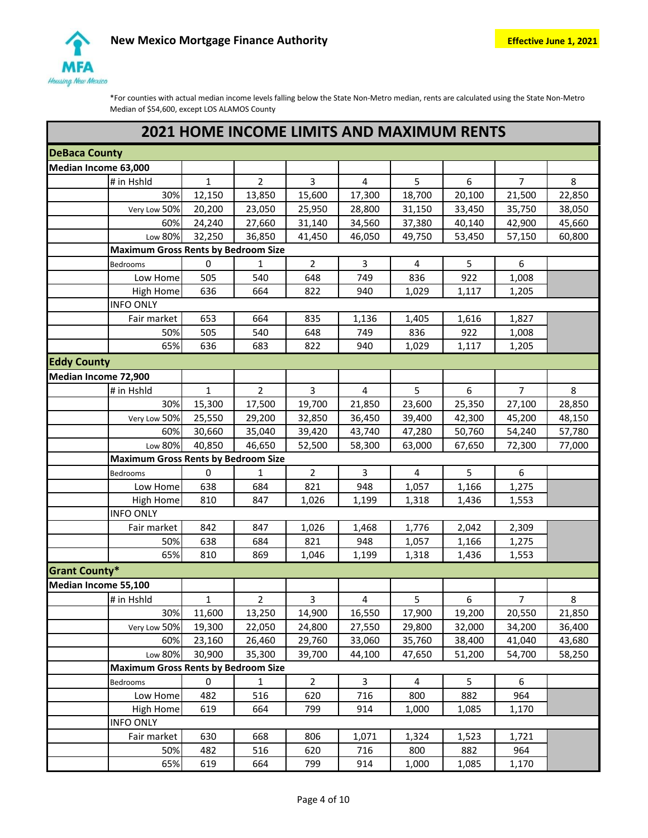

|                      | <b>2021 HOME INCOME LIMITS AND MAXIMUM RENTS</b> |                                            |                |                |        |        |                |        |  |  |  |
|----------------------|--------------------------------------------------|--------------------------------------------|----------------|----------------|--------|--------|----------------|--------|--|--|--|
| <b>DeBaca County</b> |                                                  |                                            |                |                |        |        |                |        |  |  |  |
| Median Income 63,000 |                                                  |                                            |                |                |        |        |                |        |  |  |  |
| # in Hshld           | $\mathbf{1}$                                     | $\overline{2}$                             | 3              | 4              | 5      | 6      | $\overline{7}$ | 8      |  |  |  |
|                      | 30%<br>12,150                                    | 13,850                                     | 15,600         | 17,300         | 18,700 | 20,100 | 21,500         | 22,850 |  |  |  |
| Very Low 50%         | 20,200                                           | 23,050                                     | 25,950         | 28,800         | 31,150 | 33,450 | 35,750         | 38,050 |  |  |  |
|                      | 60%<br>24,240                                    | 27,660                                     | 31,140         | 34,560         | 37,380 | 40,140 | 42,900         | 45,660 |  |  |  |
| Low 80%              | 32,250                                           | 36,850                                     | 41,450         | 46,050         | 49,750 | 53,450 | 57,150         | 60,800 |  |  |  |
|                      |                                                  | <b>Maximum Gross Rents by Bedroom Size</b> |                |                |        |        |                |        |  |  |  |
| <b>Bedrooms</b>      | $\pmb{0}$                                        | $\mathbf{1}$                               | $\overline{2}$ | 3              | 4      | 5      | 6              |        |  |  |  |
| Low Home             | 505                                              | 540                                        | 648            | 749            | 836    | 922    | 1,008          |        |  |  |  |
| High Home            | 636                                              | 664                                        | 822            | 940            | 1,029  | 1,117  | 1,205          |        |  |  |  |
| <b>INFO ONLY</b>     |                                                  |                                            |                |                |        |        |                |        |  |  |  |
| Fair market          | 653                                              | 664                                        | 835            | 1,136          | 1,405  | 1,616  | 1,827          |        |  |  |  |
|                      | 50%<br>505                                       | 540                                        | 648            | 749            | 836    | 922    | 1,008          |        |  |  |  |
|                      | 65%<br>636                                       | 683                                        | 822            | 940            | 1,029  | 1,117  | 1,205          |        |  |  |  |
| <b>Eddy County</b>   |                                                  |                                            |                |                |        |        |                |        |  |  |  |
| Median Income 72,900 |                                                  |                                            |                |                |        |        |                |        |  |  |  |
| # in Hshld           | $\mathbf{1}$                                     | $\overline{2}$                             | 3              | $\overline{4}$ | 5      | 6      | $\overline{7}$ | 8      |  |  |  |
|                      | 30%<br>15,300                                    | 17,500                                     | 19,700         | 21,850         | 23,600 | 25,350 | 27,100         | 28,850 |  |  |  |
| Very Low 50%         | 25,550                                           | 29,200                                     | 32,850         | 36,450         | 39,400 | 42,300 | 45,200         | 48,150 |  |  |  |
|                      | 30,660<br>60%                                    | 35,040                                     | 39,420         | 43,740         | 47,280 | 50,760 | 54,240         | 57,780 |  |  |  |
| Low 80%              | 40,850                                           | 46,650                                     | 52,500         | 58,300         | 63,000 | 67,650 | 72,300         | 77,000 |  |  |  |
|                      |                                                  | <b>Maximum Gross Rents by Bedroom Size</b> |                |                |        |        |                |        |  |  |  |
| Bedrooms             | 0                                                | $\mathbf{1}$                               | $\overline{2}$ | 3              | 4      | 5      | 6              |        |  |  |  |
| Low Home             | 638                                              | 684                                        | 821            | 948            | 1,057  | 1,166  | 1,275          |        |  |  |  |
| <b>High Home</b>     | 810                                              | 847                                        | 1,026          | 1,199          | 1,318  | 1,436  | 1,553          |        |  |  |  |
| <b>INFO ONLY</b>     |                                                  |                                            |                |                |        |        |                |        |  |  |  |
| Fair market          | 842                                              | 847                                        | 1,026          | 1,468          | 1,776  | 2,042  | 2,309          |        |  |  |  |
|                      | 638<br>50%                                       | 684                                        | 821            | 948            | 1,057  | 1,166  | 1,275          |        |  |  |  |
|                      | 65%<br>810                                       | 869                                        | 1,046          | 1,199          | 1,318  | 1,436  | 1,553          |        |  |  |  |
| <b>Grant County*</b> |                                                  |                                            |                |                |        |        |                |        |  |  |  |
| Median Income 55,100 |                                                  |                                            |                |                |        |        |                |        |  |  |  |
| $#$ in Hshld         | 1                                                | 2                                          | 3              | 4              | 5      | 6      | 7              | 8      |  |  |  |
|                      | 30%<br>11,600                                    | 13,250                                     | 14,900         | 16,550         | 17,900 | 19,200 | 20,550         | 21,850 |  |  |  |
| Very Low 50%         | 19,300                                           | 22,050                                     | 24,800         | 27,550         | 29,800 | 32,000 | 34,200         | 36,400 |  |  |  |
|                      | 60%<br>23,160                                    | 26,460                                     | 29,760         | 33,060         | 35,760 | 38,400 | 41,040         | 43,680 |  |  |  |
| Low 80%              | 30,900                                           | 35,300                                     | 39,700         | 44,100         | 47,650 | 51,200 | 54,700         | 58,250 |  |  |  |
|                      |                                                  | <b>Maximum Gross Rents by Bedroom Size</b> |                |                |        |        |                |        |  |  |  |
| Bedrooms             | 0                                                | 1                                          | $\overline{2}$ | 3              | 4      | 5      | 6              |        |  |  |  |
| Low Home             | 482                                              | 516                                        | 620            | 716            | 800    | 882    | 964            |        |  |  |  |
| <b>High Home</b>     | 619                                              | 664                                        | 799            | 914            | 1,000  | 1,085  | 1,170          |        |  |  |  |
| <b>INFO ONLY</b>     |                                                  |                                            |                |                |        |        |                |        |  |  |  |
| Fair market          | 630                                              | 668                                        | 806            | 1,071          | 1,324  | 1,523  | 1,721          |        |  |  |  |
|                      | 482<br>50%                                       | 516                                        | 620            | 716            | 800    | 882    | 964            |        |  |  |  |
|                      | 65%<br>619                                       | 664                                        | 799            | 914            | 1,000  | 1,085  | 1,170          |        |  |  |  |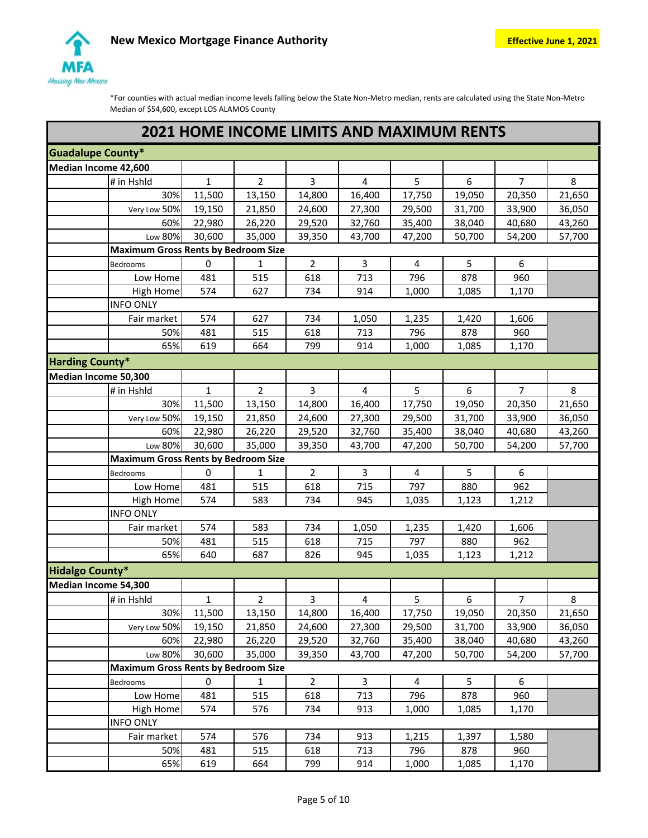

|                          | <b>2021 HOME INCOME LIMITS AND MAXIMUM RENTS</b> |                  |                |                |                         |                  |                  |                |                  |  |  |
|--------------------------|--------------------------------------------------|------------------|----------------|----------------|-------------------------|------------------|------------------|----------------|------------------|--|--|
| <b>Guadalupe County*</b> |                                                  |                  |                |                |                         |                  |                  |                |                  |  |  |
| Median Income 42,600     |                                                  |                  |                |                |                         |                  |                  |                |                  |  |  |
|                          | # in Hshld                                       | $\mathbf{1}$     | $\overline{2}$ | 3              | $\overline{\mathbf{4}}$ | 5                | 6                | $\overline{7}$ | 8                |  |  |
|                          | 30%                                              | 11,500           | 13,150         | 14,800         | 16,400                  | 17,750           | 19,050           | 20,350         | 21,650           |  |  |
|                          | Very Low 50%                                     | 19,150           | 21,850         | 24,600         | 27,300                  | 29,500           | 31,700           | 33,900         | 36,050           |  |  |
|                          | 60%                                              | 22,980           | 26,220         | 29,520         | 32,760                  | 35,400           | 38,040           | 40,680         | 43,260           |  |  |
|                          | Low 80%                                          | 30,600           | 35,000         | 39,350         | 43,700                  | 47,200           | 50,700           | 54,200         | 57,700           |  |  |
|                          | <b>Maximum Gross Rents by Bedroom Size</b>       |                  |                |                |                         |                  |                  |                |                  |  |  |
|                          | Bedrooms                                         | $\pmb{0}$        | 1              | $\overline{2}$ | 3                       | 4                | 5                | 6              |                  |  |  |
|                          | Low Home                                         | 481              | 515            | 618            | 713                     | 796              | 878              | 960            |                  |  |  |
|                          | <b>High Home</b>                                 | 574              | 627            | 734            | 914                     | 1,000            | 1,085            | 1,170          |                  |  |  |
|                          | <b>INFO ONLY</b>                                 |                  |                |                |                         |                  |                  |                |                  |  |  |
|                          | Fair market                                      | 574              | 627            | 734            | 1,050                   | 1,235            | 1,420            | 1,606          |                  |  |  |
|                          | 50%                                              | 481              | 515            | 618            | 713                     | 796              | 878              | 960            |                  |  |  |
|                          | 65%                                              | 619              | 664            | 799            | 914                     | 1,000            | 1,085            | 1,170          |                  |  |  |
| <b>Harding County*</b>   |                                                  |                  |                |                |                         |                  |                  |                |                  |  |  |
| Median Income 50,300     |                                                  |                  |                |                |                         |                  |                  |                |                  |  |  |
|                          | # in Hshld                                       | $\mathbf{1}$     | $\overline{2}$ | 3              | $\overline{\mathbf{4}}$ | 5                | 6                | $\overline{7}$ | 8                |  |  |
|                          | 30%                                              | 11,500           | 13,150         | 14,800         | 16,400                  | 17,750           | 19,050           | 20,350         | 21,650           |  |  |
|                          | Very Low 50%                                     | 19,150           | 21,850         | 24,600         | 27,300                  | 29,500           | 31,700           | 33,900         | 36,050           |  |  |
|                          | 60%                                              | 22,980           | 26,220         | 29,520         | 32,760                  | 35,400           | 38,040           | 40,680         | 43,260           |  |  |
|                          | Low 80%                                          | 30,600           | 35,000         | 39,350         | 43,700                  | 47,200           | 50,700           | 54,200         | 57,700           |  |  |
|                          | <b>Maximum Gross Rents by Bedroom Size</b>       |                  |                |                |                         |                  |                  |                |                  |  |  |
|                          | Bedrooms                                         | $\mathbf 0$      | 1              | $\overline{2}$ | 3                       | 4                | 5                | 6              |                  |  |  |
|                          | Low Home                                         | 481              | 515            | 618            | 715                     | 797              | 880              | 962            |                  |  |  |
|                          | High Home                                        | 574              | 583            | 734            | 945                     | 1,035            | 1,123            | 1,212          |                  |  |  |
|                          | <b>INFO ONLY</b>                                 |                  |                |                |                         |                  |                  |                |                  |  |  |
|                          | Fair market                                      | 574              | 583            | 734            | 1,050                   | 1,235            | 1,420            | 1,606          |                  |  |  |
|                          | 50%                                              | 481              | 515            | 618            | 715                     | 797              | 880              | 962            |                  |  |  |
|                          | 65%                                              | 640              | 687            | 826            | 945                     | 1,035            | 1,123            | 1,212          |                  |  |  |
| <b>Hidalgo County*</b>   |                                                  |                  |                |                |                         |                  |                  |                |                  |  |  |
| Median Income 54,300     |                                                  |                  |                |                |                         |                  |                  |                |                  |  |  |
|                          |                                                  |                  |                |                |                         |                  |                  |                |                  |  |  |
|                          |                                                  | $\mathbf{1}$     |                | $\mathbf{3}$   |                         |                  |                  |                |                  |  |  |
|                          | # in Hshld<br>30%                                |                  | $\overline{2}$ | 14,800         | $\overline{4}$          | 5                | 6                | 7 <sup>7</sup> | 8                |  |  |
|                          |                                                  | 11,500<br>19,150 | 13,150         |                | 16,400                  | 17,750           | 19,050           | 20,350         | 21,650           |  |  |
|                          | Very Low 50%<br>60%                              |                  | 21,850         | 24,600         | 27,300                  | 29,500           | 31,700           | 33,900         | 36,050           |  |  |
|                          | Low 80%                                          | 22,980<br>30,600 | 26,220         | 29,520         | 32,760<br>43,700        | 35,400<br>47,200 | 38,040<br>50,700 | 40,680         | 43,260<br>57,700 |  |  |
|                          | <b>Maximum Gross Rents by Bedroom Size</b>       |                  | 35,000         | 39,350         |                         |                  |                  | 54,200         |                  |  |  |
|                          | Bedrooms                                         | 0                | $\mathbf{1}$   | $2^{\circ}$    | $\overline{3}$          | $\overline{4}$   | 5 <sup>1</sup>   | 6              |                  |  |  |
|                          | Low Home                                         | 481              | 515            | 618            | 713                     | 796              | 878              | 960            |                  |  |  |
|                          | High Home                                        | 574              | 576            | 734            | 913                     | 1,000            | 1,085            | 1,170          |                  |  |  |
|                          | <b>INFO ONLY</b>                                 |                  |                |                |                         |                  |                  |                |                  |  |  |
|                          | Fair market                                      | 574              | 576            | 734            | 913                     | 1,215            | 1,397            | 1,580          |                  |  |  |
|                          | 50%                                              | 481              | 515            | 618            | 713                     | 796              | 878              | 960            |                  |  |  |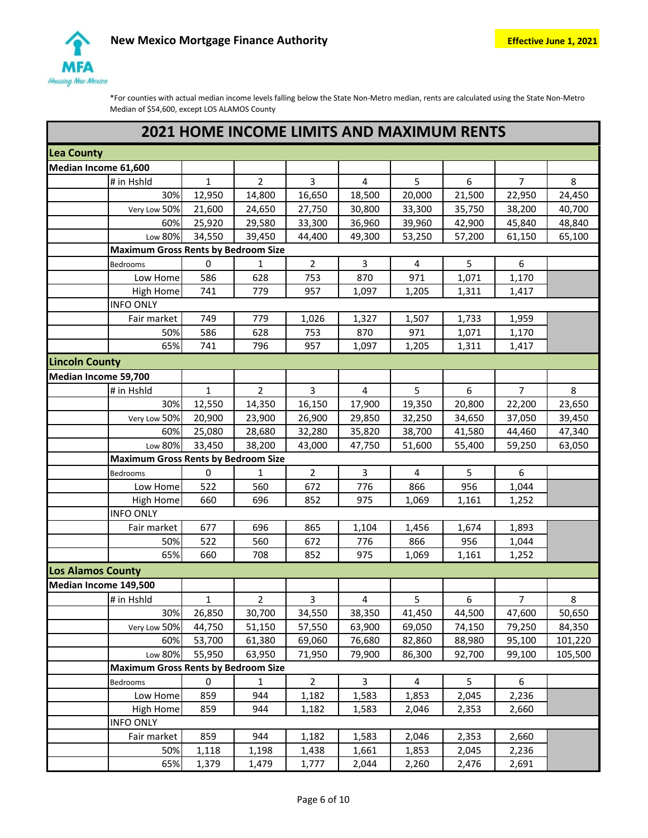

|                                            | <b>2021 HOME INCOME LIMITS AND MAXIMUM RENTS</b> |                |                |                |                |        |                |         |  |  |  |
|--------------------------------------------|--------------------------------------------------|----------------|----------------|----------------|----------------|--------|----------------|---------|--|--|--|
| <b>Lea County</b>                          |                                                  |                |                |                |                |        |                |         |  |  |  |
| Median Income 61,600                       |                                                  |                |                |                |                |        |                |         |  |  |  |
| # in Hshld                                 | $\mathbf{1}$                                     | $\overline{2}$ | 3              | 4              | 5              | 6      | $\overline{7}$ | 8       |  |  |  |
| 30%                                        | 12,950                                           | 14,800         | 16,650         | 18,500         | 20,000         | 21,500 | 22,950         | 24,450  |  |  |  |
| Very Low 50%                               | 21,600                                           | 24,650         | 27,750         | 30,800         | 33,300         | 35,750 | 38,200         | 40,700  |  |  |  |
| 60%                                        | 25,920                                           | 29,580         | 33,300         | 36,960         | 39,960         | 42,900 | 45,840         | 48,840  |  |  |  |
| Low 80%                                    | 34,550                                           | 39,450         | 44,400         | 49,300         | 53,250         | 57,200 | 61,150         | 65,100  |  |  |  |
| <b>Maximum Gross Rents by Bedroom Size</b> |                                                  |                |                |                |                |        |                |         |  |  |  |
| <b>Bedrooms</b>                            | $\pmb{0}$                                        | 1              | $\overline{2}$ | 3              | 4              | 5      | 6              |         |  |  |  |
| Low Home                                   | 586                                              | 628            | 753            | 870            | 971            | 1,071  | 1,170          |         |  |  |  |
| High Home                                  | 741                                              | 779            | 957            | 1,097          | 1,205          | 1,311  | 1,417          |         |  |  |  |
| <b>INFO ONLY</b>                           |                                                  |                |                |                |                |        |                |         |  |  |  |
| Fair market                                | 749                                              | 779            | 1,026          | 1,327          | 1,507          | 1,733  | 1,959          |         |  |  |  |
| 50%                                        | 586                                              | 628            | 753            | 870            | 971            | 1,071  | 1,170          |         |  |  |  |
| 65%                                        | 741                                              | 796            | 957            | 1,097          | 1,205          | 1,311  | 1,417          |         |  |  |  |
| <b>Lincoln County</b>                      |                                                  |                |                |                |                |        |                |         |  |  |  |
| Median Income 59,700                       |                                                  |                |                |                |                |        |                |         |  |  |  |
| # in Hshld                                 | $\mathbf{1}$                                     | $\overline{2}$ | 3              | $\overline{4}$ | 5              | 6      | $\overline{7}$ | 8       |  |  |  |
| 30%                                        | 12,550                                           | 14,350         | 16,150         | 17,900         | 19,350         | 20,800 | 22,200         | 23,650  |  |  |  |
| Very Low 50%                               | 20,900                                           | 23,900         | 26,900         | 29,850         | 32,250         | 34,650 | 37,050         | 39,450  |  |  |  |
| 60%                                        | 25,080                                           | 28,680         | 32,280         | 35,820         | 38,700         | 41,580 | 44,460         | 47,340  |  |  |  |
| Low 80%                                    | 33,450                                           | 38,200         | 43,000         | 47,750         | 51,600         | 55,400 | 59,250         | 63,050  |  |  |  |
| <b>Maximum Gross Rents by Bedroom Size</b> |                                                  |                |                |                |                |        |                |         |  |  |  |
| <b>Bedrooms</b>                            | 0                                                | $\mathbf{1}$   | $\overline{2}$ | 3              | $\overline{4}$ | 5      | 6              |         |  |  |  |
| Low Home                                   | 522                                              | 560            | 672            | 776            | 866            | 956    | 1,044          |         |  |  |  |
| <b>High Home</b>                           | 660                                              | 696            | 852            | 975            | 1,069          | 1,161  | 1,252          |         |  |  |  |
| <b>INFO ONLY</b>                           |                                                  |                |                |                |                |        |                |         |  |  |  |
| Fair market                                | 677                                              | 696            | 865            | 1,104          | 1,456          | 1,674  | 1,893          |         |  |  |  |
| 50%                                        | 522                                              | 560            | 672            | 776            | 866            | 956    | 1,044          |         |  |  |  |
| 65%                                        | 660                                              | 708            | 852            | 975            | 1,069          | 1,161  | 1,252          |         |  |  |  |
| Los Alamos County                          |                                                  |                |                |                |                |        |                |         |  |  |  |
| Median Income 149,500                      |                                                  |                |                |                |                |        |                |         |  |  |  |
| # in Hshld                                 | 1                                                | 2              | 3              | 4              | 5              | 6      | 7              | 8       |  |  |  |
| 30%                                        | 26,850                                           | 30,700         | 34,550         | 38,350         | 41,450         | 44,500 | 47,600         | 50,650  |  |  |  |
| Very Low 50%                               | 44,750                                           | 51,150         | 57,550         | 63,900         | 69,050         | 74,150 | 79,250         | 84,350  |  |  |  |
| 60%                                        | 53,700                                           | 61,380         | 69,060         | 76,680         | 82,860         | 88,980 | 95,100         | 101,220 |  |  |  |
| Low 80%                                    | 55,950                                           | 63,950         | 71,950         | 79,900         | 86,300         | 92,700 | 99,100         | 105,500 |  |  |  |
| <b>Maximum Gross Rents by Bedroom Size</b> |                                                  |                |                |                |                |        |                |         |  |  |  |
| Bedrooms                                   | 0                                                | 1              | $\overline{2}$ | 3              | 4              | 5      | 6              |         |  |  |  |
| Low Home                                   | 859                                              | 944            | 1,182          | 1,583          | 1,853          | 2,045  | 2,236          |         |  |  |  |
| High Home                                  | 859                                              | 944            | 1,182          | 1,583          | 2,046          | 2,353  | 2,660          |         |  |  |  |
| <b>INFO ONLY</b>                           |                                                  |                |                |                |                |        |                |         |  |  |  |
| Fair market                                | 859                                              | 944            | 1,182          | 1,583          | 2,046          | 2,353  | 2,660          |         |  |  |  |
| 50%                                        | 1,118                                            | 1,198          | 1,438          | 1,661          | 1,853          | 2,045  | 2,236          |         |  |  |  |
| 65%                                        | 1,379                                            | 1,479          | 1,777          | 2,044          | 2,260          | 2,476  | 2,691          |         |  |  |  |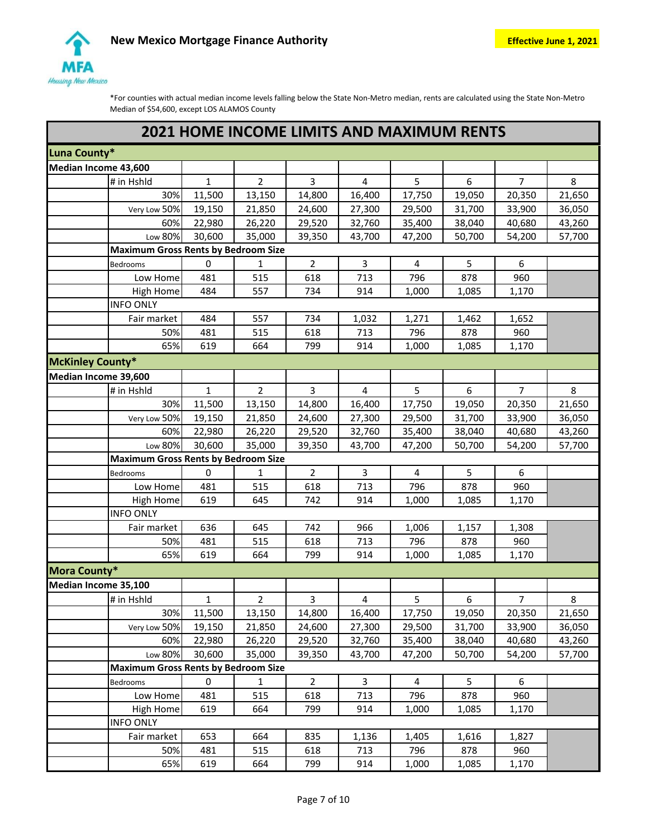

|                         | <b>2021 HOME INCOME LIMITS AND MAXIMUM RENTS</b> |              |                |                |                |        |        |                |        |  |  |
|-------------------------|--------------------------------------------------|--------------|----------------|----------------|----------------|--------|--------|----------------|--------|--|--|
| Luna County*            |                                                  |              |                |                |                |        |        |                |        |  |  |
| Median Income 43,600    |                                                  |              |                |                |                |        |        |                |        |  |  |
|                         | # in Hshld                                       | $\mathbf{1}$ | $\overline{2}$ | 3              | 4              | 5      | 6      | $\overline{7}$ | 8      |  |  |
|                         | 30%                                              | 11,500       | 13,150         | 14,800         | 16,400         | 17,750 | 19,050 | 20,350         | 21,650 |  |  |
|                         | Very Low 50%                                     | 19,150       | 21,850         | 24,600         | 27,300         | 29,500 | 31,700 | 33,900         | 36,050 |  |  |
|                         | 60%                                              | 22,980       | 26,220         | 29,520         | 32,760         | 35,400 | 38,040 | 40,680         | 43,260 |  |  |
|                         | Low 80%                                          | 30,600       | 35,000         | 39,350         | 43,700         | 47,200 | 50,700 | 54,200         | 57,700 |  |  |
|                         | <b>Maximum Gross Rents by Bedroom Size</b>       |              |                |                |                |        |        |                |        |  |  |
|                         | <b>Bedrooms</b>                                  | $\pmb{0}$    | 1              | $\overline{2}$ | 3              | 4      | 5      | 6              |        |  |  |
|                         | Low Home                                         | 481          | 515            | 618            | 713            | 796    | 878    | 960            |        |  |  |
|                         | High Home                                        | 484          | 557            | 734            | 914            | 1,000  | 1,085  | 1,170          |        |  |  |
|                         | <b>INFO ONLY</b>                                 |              |                |                |                |        |        |                |        |  |  |
|                         | Fair market                                      | 484          | 557            | 734            | 1,032          | 1,271  | 1,462  | 1,652          |        |  |  |
|                         | 50%                                              | 481          | 515            | 618            | 713            | 796    | 878    | 960            |        |  |  |
|                         | 65%                                              | 619          | 664            | 799            | 914            | 1,000  | 1,085  | 1,170          |        |  |  |
| <b>McKinley County*</b> |                                                  |              |                |                |                |        |        |                |        |  |  |
| Median Income 39,600    |                                                  |              |                |                |                |        |        |                |        |  |  |
|                         | # in Hshld                                       | $\mathbf{1}$ | $\overline{2}$ | 3              | $\overline{4}$ | 5      | 6      | $\overline{7}$ | 8      |  |  |
|                         | 30%                                              | 11,500       | 13,150         | 14,800         | 16,400         | 17,750 | 19,050 | 20,350         | 21,650 |  |  |
|                         | Very Low 50%                                     | 19,150       | 21,850         | 24,600         | 27,300         | 29,500 | 31,700 | 33,900         | 36,050 |  |  |
|                         | 60%                                              | 22,980       | 26,220         | 29,520         | 32,760         | 35,400 | 38,040 | 40,680         | 43,260 |  |  |
|                         | Low 80%                                          | 30,600       | 35,000         | 39,350         | 43,700         | 47,200 | 50,700 | 54,200         | 57,700 |  |  |
|                         | <b>Maximum Gross Rents by Bedroom Size</b>       |              |                |                |                |        |        |                |        |  |  |
|                         | Bedrooms                                         | 0            | 1              | $\overline{2}$ | 3              | 4      | 5      | 6              |        |  |  |
|                         | Low Home                                         | 481          | 515            | 618            | 713            | 796    | 878    | 960            |        |  |  |
|                         | <b>High Home</b>                                 | 619          | 645            | 742            | 914            | 1,000  | 1,085  | 1,170          |        |  |  |
|                         | <b>INFO ONLY</b>                                 |              |                |                |                |        |        |                |        |  |  |
|                         | Fair market                                      | 636          | 645            | 742            | 966            | 1,006  | 1,157  | 1,308          |        |  |  |
|                         | 50%                                              | 481          | 515            | 618            | 713            | 796    | 878    | 960            |        |  |  |
|                         | 65%                                              | 619          | 664            | 799            | 914            | 1,000  | 1,085  | 1,170          |        |  |  |
| Mora County*            |                                                  |              |                |                |                |        |        |                |        |  |  |
| Median Income 35,100    |                                                  |              |                |                |                |        |        |                |        |  |  |
|                         | # in Hshld                                       | 1            | 2              | 3              | 4              | 5      | 6      | 7              | 8      |  |  |
|                         | 30%                                              | 11,500       | 13,150         | 14,800         | 16,400         | 17,750 | 19,050 | 20,350         | 21,650 |  |  |
|                         | Very Low 50%                                     | 19,150       | 21,850         | 24,600         | 27,300         | 29,500 | 31,700 | 33,900         | 36,050 |  |  |
|                         | 60%                                              | 22,980       | 26,220         | 29,520         | 32,760         | 35,400 | 38,040 | 40,680         | 43,260 |  |  |
|                         | Low 80%                                          | 30,600       | 35,000         | 39,350         | 43,700         | 47,200 | 50,700 | 54,200         | 57,700 |  |  |
|                         | <b>Maximum Gross Rents by Bedroom Size</b>       |              |                |                |                |        |        |                |        |  |  |
|                         | Bedrooms                                         | 0            | 1              | $\overline{2}$ | 3              | 4      | 5      | 6              |        |  |  |
|                         | Low Home                                         | 481          | 515            | 618            | 713            | 796    | 878    | 960            |        |  |  |
|                         | High Home                                        | 619          | 664            | 799            | 914            | 1,000  | 1,085  | 1,170          |        |  |  |
|                         | <b>INFO ONLY</b>                                 |              |                |                |                |        |        |                |        |  |  |
|                         | Fair market                                      | 653          | 664            | 835            | 1,136          | 1,405  | 1,616  | 1,827          |        |  |  |
|                         | 50%                                              | 481          | 515            | 618            | 713            | 796    | 878    | 960            |        |  |  |
|                         | 65%                                              | 619          | 664            | 799            | 914            | 1,000  | 1,085  | 1,170          |        |  |  |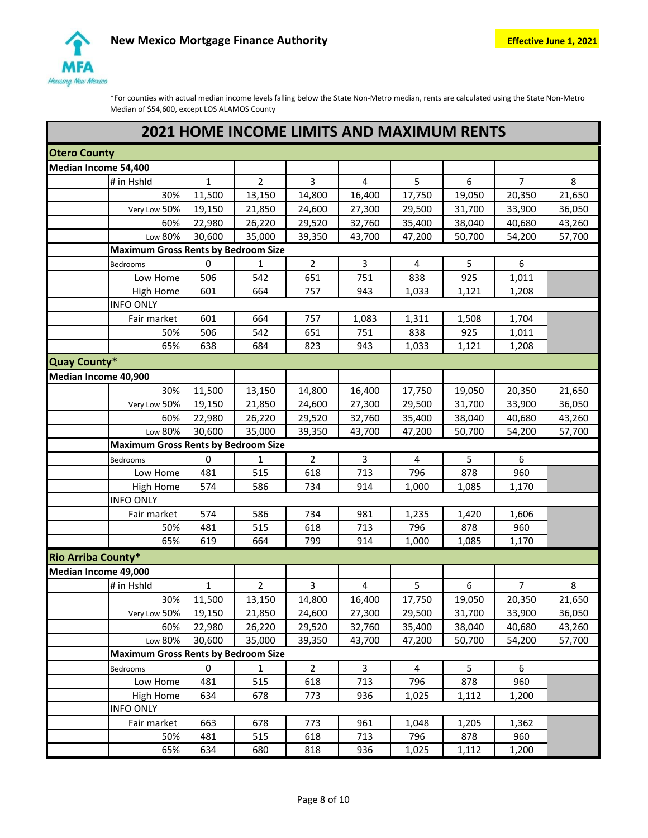

|                      | <b>2021 HOME INCOME LIMITS AND MAXIMUM RENTS</b> |                |                |        |                |                  |                  |        |
|----------------------|--------------------------------------------------|----------------|----------------|--------|----------------|------------------|------------------|--------|
| <b>Otero County</b>  |                                                  |                |                |        |                |                  |                  |        |
| Median Income 54,400 |                                                  |                |                |        |                |                  |                  |        |
| # in Hshld           | $\mathbf{1}$                                     | $\overline{2}$ | 3              | 4      | 5              | 6                | $\overline{7}$   | 8      |
|                      | 30%<br>11,500                                    | 13,150         | 14,800         | 16,400 | 17,750         | 19,050           | 20,350           | 21,650 |
| Very Low 50%         | 19,150                                           | 21,850         | 24,600         | 27,300 | 29,500         | 31,700           | 33,900           | 36,050 |
|                      | 60%<br>22,980                                    | 26,220         | 29,520         | 32,760 | 35,400         | 38,040           | 40,680           | 43,260 |
| Low 80%              | 30,600                                           | 35,000         | 39,350         | 43,700 | 47,200         | 50,700           | 54,200           | 57,700 |
|                      | <b>Maximum Gross Rents by Bedroom Size</b>       |                |                |        |                |                  |                  |        |
| <b>Bedrooms</b>      | $\mathbf 0$                                      | $\mathbf{1}$   | $\overline{2}$ | 3      | $\overline{4}$ | 5                | 6                |        |
| Low Home             | 506                                              | 542            | 651            | 751    | 838            | 925              | 1,011            |        |
| High Home            | 601                                              | 664            | 757            | 943    | 1,033          | 1,121            | 1,208            |        |
| <b>INFO ONLY</b>     |                                                  |                |                |        |                |                  |                  |        |
| Fair market          | 601                                              | 664            | 757            | 1,083  | 1,311          | 1,508            | 1,704            |        |
|                      | 506<br>50%                                       | 542            | 651            | 751    | 838            | 925              | 1,011            |        |
|                      | 65%<br>638                                       | 684            | 823            | 943    | 1,033          | 1,121            | 1,208            |        |
| Quay County*         |                                                  |                |                |        |                |                  |                  |        |
| Median Income 40,900 |                                                  |                |                |        |                |                  |                  |        |
|                      | 30%<br>11,500                                    | 13,150         | 14,800         | 16,400 | 17,750         | 19,050           | 20,350           | 21,650 |
| Very Low 50%         | 19,150                                           | 21,850         | 24,600         | 27,300 | 29,500         | 31,700           | 33,900           | 36,050 |
|                      | 60%<br>22,980                                    | 26,220         | 29,520         | 32,760 | 35,400         | 38,040           | 40,680           | 43,260 |
| Low 80%              | 30,600                                           | 35,000         | 39,350         | 43,700 | 47,200         | 50,700           | 54,200           | 57,700 |
|                      | <b>Maximum Gross Rents by Bedroom Size</b>       |                |                |        |                |                  |                  |        |
| Bedrooms             | 0                                                | 1              | $\overline{2}$ | 3      | $\overline{4}$ | 5                | 6                |        |
| Low Home             | 481                                              | 515            | 618            | 713    | 796            | 878              | 960              |        |
| <b>High Home</b>     | 574                                              | 586            | 734            | 914    | 1,000          | 1,085            | 1,170            |        |
| <b>INFO ONLY</b>     |                                                  |                |                |        |                |                  |                  |        |
| Fair market          | 574                                              | 586            | 734            | 981    | 1,235          | 1,420            | 1,606            |        |
|                      | 481<br>50%                                       | 515            | 618            | 713    | 796            | 878              | 960              |        |
|                      | 65%<br>619                                       | 664            | 799            | 914    | 1,000          | 1,085            | 1,170            |        |
| Rio Arriba County*   |                                                  |                |                |        |                |                  |                  |        |
| Median Income 49,000 |                                                  |                |                |        |                |                  |                  |        |
| # in Hshld           | 1                                                | $\overline{2}$ | 3              | 4      | 5              | $\boldsymbol{6}$ | 7                | 8      |
|                      | 30%<br>11,500                                    | 13,150         | 14,800         | 16,400 | 17,750         | 19,050           | 20,350           | 21,650 |
| Very Low 50%         | 19,150                                           | 21,850         | 24,600         | 27,300 | 29,500         | 31,700           | 33,900           | 36,050 |
|                      | 60%<br>22,980                                    | 26,220         | 29,520         | 32,760 | 35,400         | 38,040           | 40,680           | 43,260 |
| Low 80%              | 30,600                                           | 35,000         | 39,350         | 43,700 | 47,200         | 50,700           | 54,200           | 57,700 |
|                      | <b>Maximum Gross Rents by Bedroom Size</b>       |                |                |        |                |                  |                  |        |
| Bedrooms             | 0                                                | 1              | $\overline{2}$ | 3      | $\overline{4}$ | 5                | $\boldsymbol{6}$ |        |
| Low Home             | 481                                              | 515            | 618            | 713    | 796            | 878              | 960              |        |
| <b>High Home</b>     | 634                                              | 678            | 773            | 936    | 1,025          | 1,112            | 1,200            |        |
| <b>INFO ONLY</b>     |                                                  |                |                |        |                |                  |                  |        |
| Fair market          | 663                                              | 678            | 773            | 961    | 1,048          | 1,205            | 1,362            |        |
|                      | 50%<br>481                                       | 515            | 618            | 713    | 796            | 878              | 960              |        |
|                      | 65%<br>634                                       | 680            | 818            | 936    | 1,025          | 1,112            | 1,200            |        |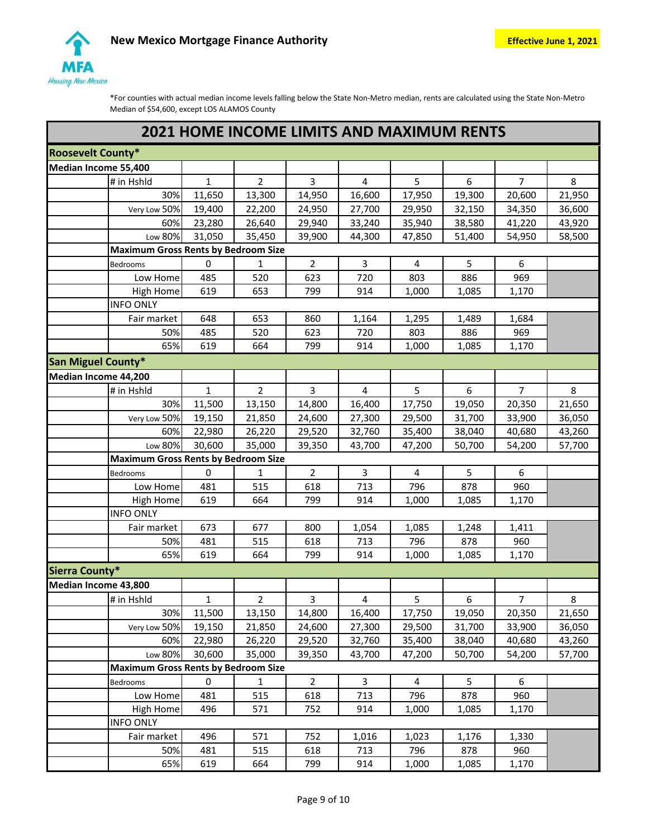

|                           | <b>2021 HOME INCOME LIMITS AND MAXIMUM RENTS</b> |              |                |                |           |        |        |                  |        |  |  |
|---------------------------|--------------------------------------------------|--------------|----------------|----------------|-----------|--------|--------|------------------|--------|--|--|
| <b>Roosevelt County*</b>  |                                                  |              |                |                |           |        |        |                  |        |  |  |
| Median Income 55,400      |                                                  |              |                |                |           |        |        |                  |        |  |  |
|                           | # in Hshld                                       | 1            | 2              | 3              | 4         | 5      | 6      | $\overline{7}$   | 8      |  |  |
|                           | 30%                                              | 11,650       | 13,300         | 14,950         | 16,600    | 17,950 | 19,300 | 20,600           | 21,950 |  |  |
|                           | Very Low 50%                                     | 19,400       | 22,200         | 24,950         | 27,700    | 29,950 | 32,150 | 34,350           | 36,600 |  |  |
|                           | 60%                                              | 23,280       | 26,640         | 29,940         | 33,240    | 35,940 | 38,580 | 41,220           | 43,920 |  |  |
|                           | Low 80%                                          | 31,050       | 35,450         | 39,900         | 44,300    | 47,850 | 51,400 | 54,950           | 58,500 |  |  |
|                           | <b>Maximum Gross Rents by Bedroom Size</b>       |              |                |                |           |        |        |                  |        |  |  |
|                           | Bedrooms                                         | $\pmb{0}$    | $\mathbf{1}$   | $\overline{2}$ | 3         | 4      | 5      | 6                |        |  |  |
|                           | Low Home                                         | 485          | 520            | 623            | 720       | 803    | 886    | 969              |        |  |  |
|                           | High Home                                        | 619          | 653            | 799            | 914       | 1,000  | 1,085  | 1,170            |        |  |  |
|                           | <b>INFO ONLY</b>                                 |              |                |                |           |        |        |                  |        |  |  |
|                           | Fair market                                      | 648          | 653            | 860            | 1,164     | 1,295  | 1,489  | 1,684            |        |  |  |
|                           | 50%                                              | 485          | 520            | 623            | 720       | 803    | 886    | 969              |        |  |  |
|                           | 65%                                              | 619          | 664            | 799            | 914       | 1,000  | 1,085  | 1,170            |        |  |  |
| <b>San Miguel County*</b> |                                                  |              |                |                |           |        |        |                  |        |  |  |
| Median Income 44,200      |                                                  |              |                |                |           |        |        |                  |        |  |  |
|                           | # in Hshld                                       | $\mathbf{1}$ | $\overline{2}$ | 3              | $\pmb{4}$ | 5      | 6      | 7                | 8      |  |  |
|                           | 30%                                              | 11,500       | 13,150         | 14,800         | 16,400    | 17,750 | 19,050 | 20,350           | 21,650 |  |  |
|                           | Very Low 50%                                     | 19,150       | 21,850         | 24,600         | 27,300    | 29,500 | 31,700 | 33,900           | 36,050 |  |  |
|                           | 60%                                              | 22,980       | 26,220         | 29,520         | 32,760    | 35,400 | 38,040 | 40,680           | 43,260 |  |  |
|                           | Low 80%                                          | 30,600       | 35,000         | 39,350         | 43,700    | 47,200 | 50,700 | 54,200           | 57,700 |  |  |
|                           | <b>Maximum Gross Rents by Bedroom Size</b>       |              |                |                |           |        |        |                  |        |  |  |
|                           | Bedrooms                                         | 0            | 1              | $\overline{2}$ | 3         | 4      | 5      | $\boldsymbol{6}$ |        |  |  |
|                           | Low Home                                         | 481          | 515            | 618            | 713       | 796    | 878    | 960              |        |  |  |
|                           | <b>High Home</b>                                 | 619          | 664            | 799            | 914       | 1,000  | 1,085  | 1,170            |        |  |  |
|                           | <b>INFO ONLY</b>                                 |              |                |                |           |        |        |                  |        |  |  |
|                           | Fair market                                      | 673          | 677            | 800            | 1,054     | 1,085  | 1,248  | 1,411            |        |  |  |
|                           | 50%                                              | 481          | 515            | 618            | 713       | 796    | 878    | 960              |        |  |  |
|                           | 65%                                              | 619          | 664            | 799            | 914       | 1,000  | 1,085  | 1,170            |        |  |  |
| <b>Sierra County*</b>     |                                                  |              |                |                |           |        |        |                  |        |  |  |
| Median Income 43,800      |                                                  |              |                |                |           |        |        |                  |        |  |  |
|                           | $\frac{1}{4}$ in Hshld                           | $\mathbf{1}$ | $\mathbf{Z}$   | 3              | 4         | 5      | 6      | $\overline{7}$   | 8      |  |  |
|                           | 30%                                              | 11,500       | 13,150         | 14,800         | 16,400    | 17,750 | 19,050 | 20,350           | 21,650 |  |  |
|                           | Very Low 50%                                     | 19,150       | 21,850         | 24,600         | 27,300    | 29,500 | 31,700 | 33,900           | 36,050 |  |  |
|                           | 60%                                              | 22,980       | 26,220         | 29,520         | 32,760    | 35,400 | 38,040 | 40,680           | 43,260 |  |  |
|                           | Low 80%                                          | 30,600       | 35,000         | 39,350         | 43,700    | 47,200 | 50,700 | 54,200           | 57,700 |  |  |
|                           | <b>Maximum Gross Rents by Bedroom Size</b>       |              |                |                |           |        |        |                  |        |  |  |
|                           | Bedrooms                                         | 0            | $\mathbf{1}$   | $\overline{2}$ | 3         | 4      | 5      | 6                |        |  |  |
|                           | Low Home                                         | 481          | 515            | 618            | 713       | 796    | 878    | 960              |        |  |  |
|                           | High Home                                        | 496          | 571            | 752            | 914       | 1,000  | 1,085  | 1,170            |        |  |  |
|                           | <b>INFO ONLY</b>                                 |              |                |                |           |        |        |                  |        |  |  |
|                           | Fair market                                      | 496          | 571            | 752            | 1,016     | 1,023  | 1,176  | 1,330            |        |  |  |
|                           | 50%                                              | 481          | 515            | 618            | 713       | 796    | 878    | 960              |        |  |  |
|                           | 65%                                              | 619          | 664            | 799            | 914       | 1,000  | 1,085  | 1,170            |        |  |  |